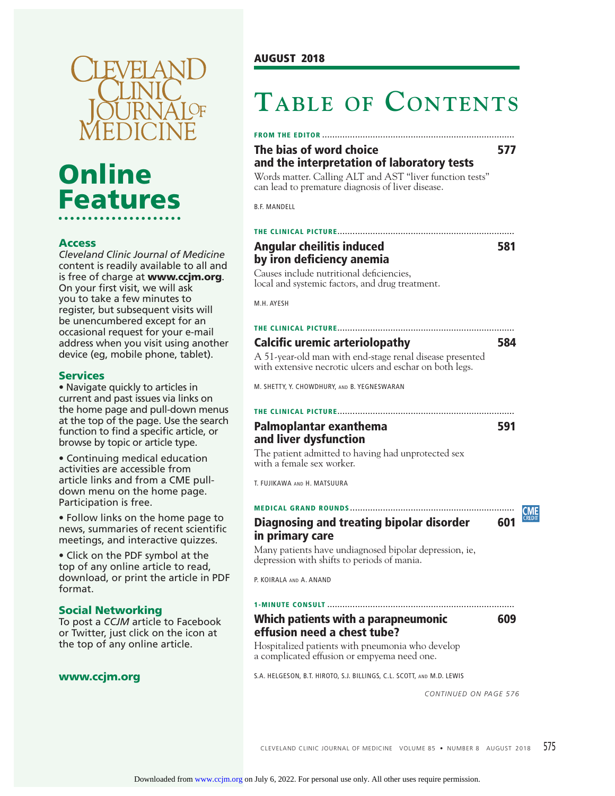

# **Online Features**

### **Access**

*Cleveland Clinic Journal of Medicine*  content is readily available to all and is free of charge at **www.ccjm.org**. On your first visit, we will ask you to take a few minutes to register, but subsequent visits will be unencumbered except for an occasional request for your e-mail address when you visit using another device (eg, mobile phone, tablet).

#### **Services**

• Navigate quickly to articles in current and past issues via links on the home page and pull-down menus at the top of the page. Use the search function to find a specific article, or browse by topic or article type.

• Continuing medical education activities are accessible from article links and from a CME pulldown menu on the home page. Participation is free.

• Follow links on the home page to news, summaries of recent scientific meetings, and interactive quizzes.

• Click on the PDF symbol at the top of any online article to read, download, or print the article in PDF format.

#### **Social Networking**

To post a *CCJM* article to Facebook or Twitter, just click on the icon at the top of any online article.

#### **www.ccjm.org**

# **TABLE OF CONTENTS**

#### **FROM THE EDITOR ............................................................................**

# **The bias of word choice** 677 **and the interpretation of laboratory tests**

Words matter. Calling ALT and AST "liver function tests" can lead to premature diagnosis of liver disease.

B.F. MANDELL

# **THE CLINICAL PICTURE ......................................................................**

**Angular cheilitis induced 581 by iron deficiency anemia** 

Causes include nutritional deficiencies, local and systemic factors, and drug treatment.

M.H. AYESH

#### **THE CLINICAL PICTURE ......................................................................**

## **Calcific uremic arteriolopathy** 584

A 51-year-old man with end-stage renal disease presented with extensive necrotic ulcers and eschar on both legs.

M. SHETTY, Y. CHOWDHURY, AND B. YEGNESWARAN

## **THE CLINICAL PICTURE ...................................................................... Palmoplantar exanthema 591 and liver dysfunction**

<u>EME</u>

The patient admitted to having had unprotected sex with a female sex worker.

T. FUJIKAWA AND H. MATSUURA

### **MEDICAL GRAND ROUNDS .................................................................**

# **Diagnosing and treating bipolar disorder 601 in primary care**

Many patients have undiagnosed bipolar depression, ie, depression with shifts to periods of mania.

P. KOIRALA AND A. ANAND

#### **1-MINUTE CONSULT ..........................................................................**

# **Which patients with a parapneumonic 609 effusion need a chest tube?**

Hospitalized patients with pneumonia who develop a complicated effusion or empyema need one.

S.A. HELGESON, B.T. HIROTO, S.J. BILLINGS, C.L. SCOTT, AND M.D. LEWIS

*CONTINUED ON PAGE 576*